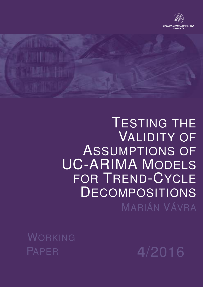

# TESTING THE VALIDITY OF ASSUMPTIONS OF UC-ARIMA MODELS FOR TREND-CYCLE **DECOMPOSITIONS** MARIÁN VÁVRA

WORKING PAPER **4**/2016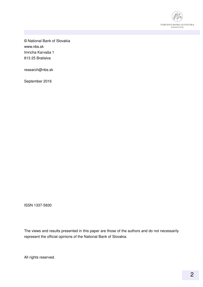

© National Bank of Slovakia www.nbs.sk Imricha Karvaša 1 813 25 Bratislva

research@nbs.sk

September 2016

ISSN 1337-5830

The views and results presented in this paper are those of the authors and do not necessarily represent the official opinions of the National Bank of Slovakia.

All rights reserved.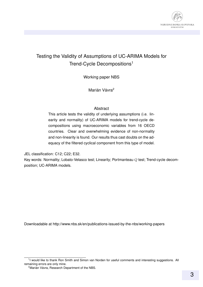

#### Testing the Validity of Assumptions of UC-ARIMA Models for Trend-Cycle Decompositions<sup>1</sup>

Working paper NBS

Marián Vávra<sup>2</sup>

#### **Abstract**

This article tests the validity of underlying assumptions (i.e. linearity and normality) of UC-ARIMA models for trend-cycle decompositions using macroeconomic variables from 16 OECD countries. Clear and overwhelming evidence of non-normality and non-linearity is found. Our results thus cast doubts on the adequacy of the filtered cyclical component from this type of model.

JEL classification: C12; C22; E32.

Key words: Normality; Lobato-Velasco test; Linearity; Portmanteau Q test; Trend-cycle decomposition; UC-ARIMA models.

Downloadable at http://www.nbs.sk/en/publications-issued-by-the-nbs/working-papers

<sup>&</sup>lt;sup>1</sup>I would like to thank Ron Smith and Simon van Norden for useful comments and interesting suggestions. All remaining errors are only mine.

 $2^{\circ}$ Marián Vávra, Research Department of the NBS.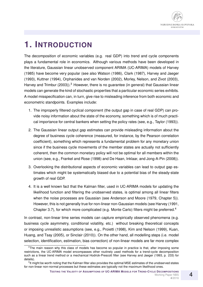## **1. INTRODUCTION**

The decomposition of economic variables (e.g. real GDP) into trend and cycle components plays a fundamental role in economics. Although various methods have been developed in the literature, Gaussian linear unobserved component ARIMA (UC-ARIMA) models of Harvey (1985) have become very popular (see also Watson (1986), Clark (1987), Harvey and Jaeger (1993), Kuttner (1994), Orphanides and van Norden (2002), Morley, Nelson, and Zivot (2003), Harvey and Trimbur (2003)).<sup>3</sup> However, there is no quarantee (in general) that Gaussian linear models can generate the kind of stochastic properties that a particular economic series exhibits. A model misspecification can, in turn, give rise to misleading inference from both economic and econometric standpoints. Examples include:

- 1. The improperly filtered cyclical component (the output gap in case of real GDP) can provide noisy information about the state of the economy, something which is of much practical importance for central bankers when setting the policy rates (see, e.g., Taylor (1993)).
- 2. The Gaussian linear output gap estimates can provide misleading information about the degree of business cycle coherence (measured, for instance, by the Pearson correlation coefficient), something which represents a fundamental problem for any monetary union since if the business cycle movements of the member states are actually not sufficiently coherent, then the common monetary policy will not be optimal for all members within the union (see, e.g., Frankel and Rose (1998) and De Haan, Inklaar, and Jong-A-Pin (2008)).
- 3. Overlooking the distributional aspects of economic variables can lead to output gap estimates which might be systematically biased due to a potential bias of the steady-state growth of real GDP.
- 4. It is a well known fact that the Kalman filter, used in UC-ARIMA models for updating the likelihood function and filtering the unobserved states, is optimal among all linear filters when the noise processes are Gaussian (see Anderson and Moore (1979, Chapter 5)). However, this is not generally true for non-linear non-Gaussian models (see Harvey (1991, Chapter 3.7), for which more complicated (e.g. Monte Carlo) filters might be preferred.<sup>4</sup>

In contrast, non-linear time series models can capture empirically observed phenomena (e.g. business cycle asymmetry, conditional volatility, etc.) without breaking theoretical concepts or imposing unrealistic assumptions (see, e.g., Proietti (1998), Kim and Nelson (1999), Kuan, Huang, and Tsay (2005), or Sinclair (2010)). On the other hand, all modelling steps (i.e. model selection, identification, estimation, bias correction) of non-linear models are far more complex

 $3$ The main reason why this class of models has become so popular in practice is that, after imposing some restrictions, the UC-ARIMA model encompasses other routinely used methods for a trend-cycle decomposition such as a linear trend method or a mechanical Hodrick-Prescott filter (see Harvey and Jaeger (1993, p. 233) for details).

<sup>4</sup> It might be worth noting that the Kalman filter also provides the optimal MSE estimates of the unobserved states for non-linear non-normal processes but these estimates are typically not the maximum likelihood ones.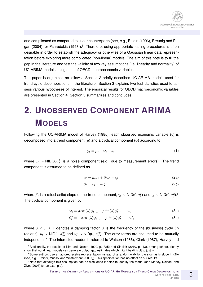

and complicated as compared to linear counterparts (see, e.g., Boldin (1996), Breunig and Pagan (2004), or Psaradakis (1998)).<sup>5</sup> Therefore, using appropriate testing procedures is often desirable in order to establish the adequacy or otherwise of a Gaussian linear data representation before exploring more complicated (non-linear) models. The aim of this note is to fill the gap in the literature and test the validity of two key assumptions (i.e. linearity and normality) of UC-ARIMA models using a set of OECD macroeconomic variables.

The paper is organized as follows. Section 2 briefly describes UC-ARIMA models used for trend-cycle decompositions in the literature. Section 3 explains two test statistics used to assess various hypotheses of interest. The empirical results for OECD macroeconomic variables are presented in Section 4. Section 5 summarizes and concludes.

## **2. UNOBSERVED COMPONENT ARIMA MODELS**

Following the UC-ARIMA model of Harvey (1985), each observed economic variable  $(y)$  is decomposed into a trend component  $(\mu)$  and a cyclical component  $(\psi)$  according to

$$
y_t = \mu_t + \psi_t + a_t, \tag{1}
$$

where  $a_t \sim \mathsf{NID}(0,\sigma_a^2)$  is a noise component (e.g., due to measurement errors). The trend component is assumed to be defined as

$$
\mu_t = \mu_{t-1} + \beta_{t-1} + \eta_t, \tag{2a}
$$

$$
\beta_t = \beta_{t-1} + \zeta,\tag{2b}
$$

where  $\beta_t$  is a (stochastic) slope of the trend component,  $\eta_t\sim\mathsf{NID}(0,\sigma_\eta^2)$  and  $\zeta_t\sim\mathsf{NID}(0,\sigma_\zeta^2)$ .<sup>6</sup> The cyclical component is given by

$$
\psi_t = \rho \cos(\lambda)\psi_{t-1} + \rho \sin(\lambda)\psi_{t-1}^* + u_t,\tag{3a}
$$

$$
\psi_t^* = -\rho \cos(\lambda)\psi_{t-1} + \rho \sin(\lambda)\psi_{t-1}^* + u_t^*,\tag{3b}
$$

where  $0 \le \rho \le 1$  denotes a damping factor,  $\lambda$  is the frequency of the (business) cycle (in radians),  $u_t \sim \textsf{NID}(0,\sigma_u^2)$  and  $u_t^* \sim \textsf{NID}(0,\sigma_u^{*2})$ . The error terms are assumed to be mutually independent.<sup>7</sup> The interested reader is referred to Watson (1986), Clark (1987), Harvey and

<sup>&</sup>lt;sup>5</sup>Additionally, the results of Kim and Nelson (1999, p. 325) and Sinclair (2010, p. 13), among others, clearly show that non-linear models can generate output gap estimates which might be difficult to justify.

<sup>&</sup>lt;sup>6</sup>Some authors use an autoregressive representation instead of a random walk for the stochastic slope in (2b) (see, e.g., Proietti, Musso, and Westermann (2007)). This specification has no effect on our results.

<sup>&</sup>lt;sup>7</sup>Note that although this assumption can be weakened it helps to identify the model (see Morley, Nelson, and Zivot (2003) for an example).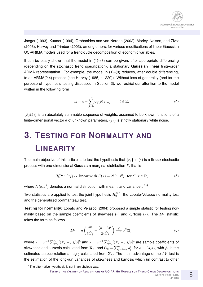Jaeger (1993), Kuttner (1994), Orphanides and van Norden (2002), Morley, Nelson, and Zivot (2003), Harvey and Trimbur (2003), among others, for various modifications of linear Gaussian UC-ARIMA models used for a trend-cycle decomposition of economic variables.

It can be easily shown that the model in  $(1)$ – $(3)$  can be given, after appropriate differencing (depending on the stochastic trend specification), a stationary **Gaussian linear** finite-order ARMA representation. For example, the model in (1)–(3) reduces, after double differencing, to an ARMA(2,4) process (see Harvey (1985, p. 220)). Without loss of generality (and for the purpose of hypothesis testing discussed in Section 3), we restrict our attention to the model written in the following form

$$
x_t = c + \sum_{j=0}^{\infty} \psi_j(\delta) \, \varepsilon_{t-j}, \qquad t \in \mathbb{Z}, \tag{4}
$$

 $\{\psi_i(\boldsymbol{\delta})\}$  is an absolutely summable sequence of weights, assumed to be known functions of a finite-dimensional vector  $\delta$  of unknown parameters,  $\{\varepsilon_t\}$  is strictly stationary white noise.

## **3. TESTING FOR NORMALITY AND LINEARITY**

The main objective of this article is to test the hypothesis that  $\{x_t\}$  in (4) is a **linear** stochastic process with one-dimensional **Gaussian** marginal distribution F, that is

$$
H_0^{NL}: \{x_t\} \sim \text{ linear with } F(x) = N(c, \sigma^2), \text{ for all } x \in \mathbb{R},\tag{5}
$$

where  $N(c,\sigma^2)$  denotes a normal distribution with mean  $c$  and variance  $\sigma^2.8$ 

Two statistics are applied to test the joint hypothesis  $H_0^{NL}$ : the Lobato-Velasco normality test and the generalized portmanteau test.

**Testing for normality:** Lobato and Velasco (2004) proposed a simple statistic for testing normality based on the sample coefficients of skewness  $(\hat{\tau})$  and kurtosis  $(\hat{\kappa})$ . The LV statistic takes the form as follows

$$
LV = n\left(\frac{\hat{\tau}^2}{6\hat{G}_3} + \frac{(\hat{\kappa} - 3)^2}{24\hat{G}_4}\right) \stackrel{d}{\longrightarrow} \chi^2(2),\tag{6}
$$

where  $\hat{\tau}=n^{-1}\sum_{t=1}^n[(X_t-\hat{\mu})/\hat{\sigma}]^3$  and  $\hat{\kappa}=n^{-1}\sum_{t=1}^n[(X_t-\hat{\mu})/\hat{\sigma}]^4$  are sample coefficients of skewness and kurtosis calculated from  $\mathbf{X}_n$ , and  $\hat G_k=\sum_{j=1-n}^{n-1}\hat\rho_j^k$ , for  $k\in\{3,4\}$ , with  $\hat\rho_j$  is the estimated autocorrelation at lag j calculated from  $X_n$ . The main advantage of the LV test is the estimation of the long-run variances of skewness and kurtosis which (in contrast to other

**TESTING THE VALIDITY OF ASSUMPTIONS OF UC-ARIMA MODELS FOR TREND-CYCLE DECOMPOSITIONS** Working Paper NBS **4**/2016

<sup>&</sup>lt;sup>8</sup>The alternative hypothesis is set in an obvious way.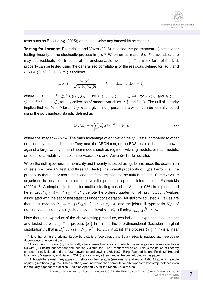tests such as Bai and Ng (2005)) does not involve any bandwidth selection.<sup>9</sup>

**Testing for linearity:** Psaradakis and Vávra (2016) modified the portmanteau Q statistic for testing linearity of the stochastic process in (4).<sup>10</sup> When an estimator  $\hat{\delta}$  of  $\delta$  is available, one may use residuals  $\{\hat{\varepsilon}_t\}$  in place of the unobservable noise  $\{\varepsilon_t\}$ . The weak form of the i.i.d. property can be tested using the generalized correlations of the residuals defined for lag  $k$  and  $(r, s) \in \{(1, 2), (2, 1), (2, 2)\}\$ as follows

$$
\hat{\rho}_{rs}(k) = \frac{\hat{\gamma}_{rs}(k)}{\sqrt{\hat{\gamma}_{rr}(0)\hat{\gamma}_{ss}(0)}}, \qquad k = 0, \pm 1, \dots, \pm (n-1),
$$

where  $\hat{\gamma}_{rs}(k) = n^{-1} \sum_{t=1}^{n-k} f_r(\hat{\varepsilon}_t) f_s(\hat{\varepsilon}_{t+k})$  for  $k \geqslant 0$ ,  $\hat{\gamma}_{rs}(k) = \hat{\gamma}_{sr}(-k)$  for  $k < 0$ , and  $f_b(\xi_t) =$  $\xi_t^b-n^{-1}(\xi_1^b+\cdots+\xi_n^b)$  for any collection of random variables  $\{\xi_t\}$  and  $b\in\mathbb{N}.$  The null of linearity implies that  $\rho_{rs}(k) = 0$  for all  $k \neq 0$  and given  $(r, s)$  parameters which can be formally tested using the portmanteau statistic defined as

$$
Q_{rs}(m) = n \sum_{k=1}^{m} \hat{\rho}_{rs}^2(k) \stackrel{d}{\longrightarrow} \chi^2(m),\tag{7}
$$

where the integer  $m \ll n$ . The main advantage of a triplet of the  $Q_{rs}$  tests (compared to other non-linearity tests such as the Tsay test, the ARCH test, or the BDS test.) is that it has power against a large variety of non-linear models such as regime-switching models, bilinear models, or conditional volatility models (see Psaradakis and Vávra (2016) for details).

When the null hypothesis of normality and linearity is tested using, for instance, the quaternion of tests (i.e. one LV test and three  $Q_{rs}$  tests), the overall probability of Type I error (i.e. the probability that one or more tests lead to a false rejection of the null) is inflated. Some P-value adjustment is thus desirable in order to avoid the problem of spurious inference (see Psaradakis (2000)).<sup>11</sup> A simple adjustment for multiple testing based on Simes (1986) is implemented here: Let  $P_{(1)} \leq P_{(2)} \leq P_{(3)} \leq P_{(4)}$  denote the ordered quaternion of (asymptotic) P-values associated with the set of test statistics under consideration. Multiplicity-adjusted  $P$ -values are then calculated as  $\tilde{P}_{(i)}=\min\{4P_{(i)}/i,1\},\,i\in\{1,2,3,4\}$  and the joint null hypothesis  $H^{NL}_{0}$  of normality and linearity is rejected at overall level  $\alpha\in(0,1)$  if  $\min_{i\in\{1,2,3,4\}}\tilde{P}_{(i)}\leq\alpha.$ 

Note that as a byproduct of the above testing procedure, two individual hypotheses can be set and tested as well: (i) The process  $\{x_t\}$  in (4) has the one-dimensional Gaussian marginal distribution  $F$ , that is  $H_0^N:F(x)=N(c,\sigma^2),\text{ for all }x\in\mathbb R;\text{ (ii) The process }\{x_t\}\text{ in (4) is a linear}$ 

<sup>&</sup>lt;sup>9</sup>Note that using the original Jarque-Bera statistic (see Jarque and Bera (1980)) is inappropriate here due to dependence of observations.

<sup>&</sup>lt;sup>10</sup>A stochastic process  ${x_t}$  is typically characterized as linear if it admits the moving-average representation (4) with  $\{\varepsilon_t\}$  being independent and identically distributed (i.i.d.) random variables. This is the notion of linearity considered by McLeod and Li (1983), Lawrance and Lewis (1985, 1987), Berg, Paparoditis, and Politis (2010), and Giannerini, Maasoumi, and Dagum (2015), among many others, and is the one adopted in this paper.

<sup>&</sup>lt;sup>11</sup> Although there exist many adjusting methods in the literature (see Westfall and Young (1993, Chapter 2)), simple adjusting methods (e.g. the Simes method) work no worse than computationally expensive bootstrap methods even for mutually dependent statistics. See also Appendix A for the Monte Carlo results.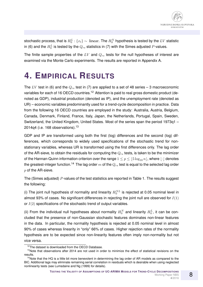stochastic process, that is  $H_0^L$  :  $\{x_t\} \sim \;$  linear. The  $H_0^N$  hypothesis is tested by the  $LV$  statistic in (6) and the  $H_0^L$  is tested by the  $Q_{rs}$  statistics in (7) with the Simes adjusted  $P$ -values.

The finite sample properties of the  $LV$  and  $Q_{rs}$  tests for the null hypotheses of interest are examined via the Monte Carlo experiments. The results are reported in Appendix A.

## **4. EMPIRICAL RESULTS**

The LV test in (6) and the  $Q_{rs}$  test in (7) are applied to a set of 48 series – 3 macroeconomic variables for each of 16 OECD countries.<sup>12</sup> Attention is paid to real gross domestic product (denoted as GDP), industrial production (denoted as IP), and the unemployment rate (denoted as UR) – economic variables predominantly used for a trend-cycle decomposition in practice. Data from the following 16 OECD countries are employed in the study: Australia, Austria, Belgium, Canada, Denmark, Finland, France, Italy, Japan, the Netherlands, Portugal, Spain, Sweden, Switzerland, the United Kingdom, United States. Most of the series span the period 1973q1 – 2014q4 (i.e. 168 observations). $13$ 

GDP and IP are transformed using both the first (log) differences and the second (log) differences, which corresponds to widely used specifications of the stochastic trend for nonstationary variables, whereas UR is transformed using the first differences only. The lag order of the AR-sieve, to obtain the residuals for computing the  $Q_{rs}$  tests, is taken to be the minimizer of the Hannan-Quinn information criterion over the range  $1 \le p \le 5 \log_{10} n$ , where  $|\cdot|$  denotes the greatest-integer function.<sup>14</sup> The lag order m of the  $Q_{rs}$  test is equal to the selected lag order  $p$  of the AR-sieve.

The (Simes adjusted) P-values of the test statistics are reported in Table 1. The results suggest the following:

(i) The joint null hypothesis of normality and linearity  $H_0^{NL}$  is rejected at 0.05 nominal level in almost 93% of cases. No significant differences in rejecting the joint null are observed for  $I(1)$ or  $I(2)$  specifications of the stochastic trend of output variables.

(ii) From the individual null hypotheses about normality  $H_0^N$  and linearity  $H_0^L$ , it can be concluded that the presence of non-Gaussian stochastic features dominates non-linear features in the data. In particular, the normality hypothesis is rejected at 0.05 nominal level in almost 90% of cases whereas linearity in "only" 66% of cases. Higher rejection rates of the normality hypothesis are to be expected since non-linearity features often imply non-normality but not vice versa.

<sup>&</sup>lt;sup>12</sup>The dataset is downloaded from the OECD Database.

<sup>&</sup>lt;sup>13</sup>Note that observations after 2014 are not used in order to minimize the effect of statistical revisions on the results.

 $14$ Note that the HQ is a little bit more benevolent in determining the lag order of AR models as compared to the BIC. Additional lags may eliminate remaining serial correlation in residuals which is desirable when using neglected nonlinearity tests (see Lumsdaine and Ng (1999) for details).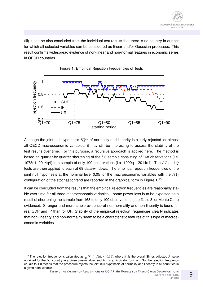(iii) It can be also concluded from the individual test results that there is no country in our set for which all selected variables can be considered as linear and/or Gaussian processes. This result confirms widespread evidence of non-linear and non-normal features in economic series in OECD countries.





Although the joint null hypothesis  $H_0^{NL}$  of normality and linearity is clearly rejected for almost all OECD macroeconomic variables, it may still be interesting to assess the stability of the test results over time. For this purpose, a recursive approach is applied here. The method is based on quarter-by quarter shortening of the full sample consisting of 168 observations (i.e. 1973q1–2014q4) to a sample of only 100 observations (i.e. 1990q1–2014q4). The LV and Q tests are then applied to each of 69 data-windows. The empirical rejection frequencies of the joint null hypothesis at the nominal level 0.05 for the macroeconomic variables with the  $I(1)$ configuration of the stochastic trend are reported in the graphical form in Figure 1.<sup>15</sup>

It can be concluded from the results that the empirical rejection frequencies are reasonably stable over time for all three macroeconomic variables – some power loss is to be expected as a result of shortening the sample from 168 to only 100 observations (see Table 3 for Monte Carlo evidence). Stronger and more stable evidence of non-normality and non-linearity is found for real GDP and IP than for UR. Stability of the empirical rejection frequencies clearly indicates that non-linearity and non-normality seem to be a characteristic features of this type of macroeconomic variables.

<sup>&</sup>lt;sup>15</sup>The rejection frequency is calculated as  $\frac{1}{16}\sum_{i=1}^{16}I(\tilde\alpha_i\le0.05)$ , where  $\tilde\alpha_i$  is the overall Simes adjusted P-value obtained for the *i*-th country in a given time-window, and  $I(\cdot)$  is an indicator function. So, the rejection frequency equals to 1.0 means that the procedure rejects the joint null hypothesis of normality and linearity in all countries in a given data-window.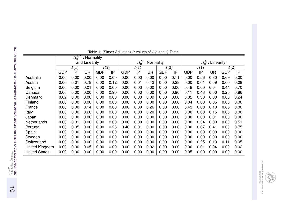| Table 1: (Simes Adjusted) P-values of $LV$ and $Q$ Tests |                        |      |           |            |      |                     |      |                   |            |      |                     |                 |           |            |      |
|----------------------------------------------------------|------------------------|------|-----------|------------|------|---------------------|------|-------------------|------------|------|---------------------|-----------------|-----------|------------|------|
|                                                          | $H_0^{NL}$ : Normality |      |           |            |      |                     |      |                   |            |      |                     |                 |           |            |      |
|                                                          | and Linearity          |      |           |            |      | $H_0^N$ : Normality |      |                   |            |      | $H_0^L$ : Linearity |                 |           |            |      |
|                                                          | I(1)                   |      |           | I(2)       |      | I(1)                |      | $\overline{I(2)}$ |            | I(1) |                     | I(2)            |           |            |      |
|                                                          | <b>GDP</b>             | IP   | <b>UR</b> | <b>GDP</b> | IP   | <b>GDP</b>          | IP   | <b>UR</b>         | <b>GDP</b> | IP   | <b>GDP</b>          | $\overline{IP}$ | <b>UR</b> | <b>GDP</b> | IP   |
| Australia                                                | 0.00                   | 0.00 | 0.00      | 0.00       | 0.00 | 0.00                | 0.00 | 0.00              | 0.00       | 0.11 | 0.00                | 0.56            | 0.80      | 0.69       | 0.00 |
| Austria                                                  | 0.00                   | 0.01 | 0.78      | 0.00       | 0.12 | 0.00                | 0.01 | 0.42              | 0.00       | 0.38 | 0.00                | 0.01            | 0.59      | 0.00       | 0.08 |
| <b>Belgium</b>                                           | 0.00                   | 0.00 | 0.01      | 0.00       | 0.00 | 0.00                | 0.00 | 0.00              | 0.00       | 0.00 | 0.48                | 0.00            | 0.04      | 0.44       | 0.70 |
| Canada                                                   | 0.00                   | 0.00 | 0.00      | 0.00       | 0.90 | 0.00                | 0.00 | 0.00              | 0.00       | 0.90 | 0.11                | 0.43            | 0.00      | 0.25       | 0.86 |
| Denmark                                                  | 0.02                   | 0.00 | 0.00      | 0.00       | 0.00 | 0.00                | 0.00 | 0.09              | 0.00       | 0.00 | 0.02                | 0.30            | 0.00      | 0.00       | 0.24 |
| Finland                                                  | 0.00                   | 0.00 | 0.00      | 0.00       | 0.00 | 0.00                | 0.00 | 0.00              | 0.00       | 0.00 | 0.04                | 0.00            | 0.06      | 0.00       | 0.00 |
| France                                                   | 0.00                   | 0.00 | 0.14      | 0.00       | 0.00 | 0.00                | 0.00 | 0.26              | 0.00       | 0.00 | 0.43                | 0.00            | 0.10      | 0.86       | 0.00 |
| Italy                                                    | 0.00                   | 0.00 | 0.20      | 0.00       | 0.00 | 0.00                | 0.00 | 0.20              | 0.00       | 0.00 | 0.00                | 0.00            | 0.15      | 0.00       | 0.00 |
| Japan                                                    | 0.00                   | 0.00 | 0.00      | 0.00       | 0.00 | 0.00                | 0.00 | 0.00              | 0.00       | 0.00 | 0.00                | 0.00            | 0.01      | 0.00       | 0.00 |
| Netherlands                                              | 0.00                   | 0.01 | 0.00      | 0.00       | 0.00 | 0.00                | 0.00 | 0.00              | 0.00       | 0.00 | 0.00                | 0.34            | 0.00      | 0.00       | 0.51 |
| Portugal                                                 | 0.00                   | 0.05 | 0.00      | 0.00       | 0.23 | 0.46                | 0.01 | 0.00              | 0.00       | 0.06 | 0.00                | 0.67            | 0.41      | 0.00       | 0.75 |
| Spain                                                    | 0.00                   | 0.00 | 0.00      | 0.00       | 0.00 | 0.00                | 0.00 | 0.00              | 0.00       | 0.00 | 0.00                | 0.00            | 0.00      | 0.00       | 0.00 |
| Sweden                                                   | 0.00                   | 0.00 | 0.00      | 0.00       | 0.00 | 0.00                | 0.00 | 0.00              | 0.00       | 0.00 | 0.00                | 0.00            | 0.00      | 0.00       | 0.00 |
| Switzerland                                              | 0.00                   | 0.00 | 0.00      | 0.00       | 0.00 | 0.00                | 0.00 | 0.00              | 0.00       | 0.00 | 0.00                | 0.25            | 0.19      | 0.11       | 0.05 |
| United Kingdom                                           | 0.00                   | 0.00 | 0.05      | 0.00       | 0.00 | 0.00                | 0.00 | 0.02              | 0.00       | 0.00 | 0.00                | 0.01            | 0.04      | 0.00       | 0.02 |
| <b>United States</b>                                     | 0.00                   | 0.00 | 0.00      | 0.00       | 0.00 | 0.00                | 0.00 | 0.00              | 0.00       | 0.00 | 0.05                | 0.00            | 0.00      | 0.00       | 0.00 |

NÁRODNÁ BANKA SLOVENSKA<br>Burosystům

 $\equiv$ 

**4**/2016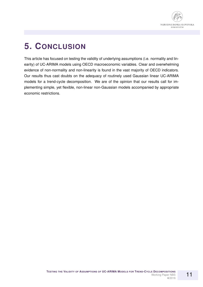

### **5. CONCLUSION**

This article has focused on testing the validity of underlying assumptions (i.e. normality and linearity) of UC-ARIMA models using OECD macroeconomic variables. Clear and overwhelming evidence of non-normality and non-linearity is found in the vast majority of OECD indicators. Our results thus cast doubts on the adequacy of routinely used Gaussian linear UC-ARIMA models for a trend-cycle decomposition. We are of the opinion that our results call for implementing simple, yet flexible, non-linear non-Gaussian models accompanied by appropriate economic restrictions.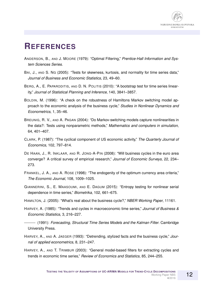

#### **REFERENCES**

- ANDERSON, B., AND J. MOORE (1979): "Optimal Filtering," *Prentice-Hall Information and System Sciences Series*.
- BAI, J., AND S. NG (2005): "Tests for skewness, kurtosis, and normality for time series data," *Journal of Business and Economic Statistics*, 23, 49–60.
- BERG, A., E. PAPARODITIS, AND D. N. POLITIS (2010): "A bootstrap test for time series linearity," *Journal of Statistical Planning and Inference*, 140, 3841–3857.
- BOLDIN, M. (1996): "A check on the robustness of Hamiltons Markov switching model approach to the economic analysis of the business cycle," *Studies in Nonlinear Dynamics and Econometrics*, 1, 35–46.
- BREUNIG, R. V., AND A. PAGAN (2004): "Do Markov-switching models capture nonlinearities in the data?: Tests using nonparametric methods," *Mathematics and computers in simulation*, 64, 401–407.
- CLARK, P. (1987): "The cyclical component of US economic activity," *The Quarterly Journal of Economics*, 102, 797–814.
- DE HAAN, J., R. INKLAAR, AND R. JONG-A-PIN (2008): "Will business cycles in the euro area converge? A critical survey of empirical research," *Journal of Economic Surveys*, 22, 234– 273.
- FRANKEL, J. A., AND A. ROSE (1998): "The endogenity of the optimum currency area criteria," *The Economic Journal*, 108, 1009–1025.
- GIANNERINI, S., E. MAASOUMI, AND E. DAGUM (2015): "Entropy testing for nonlinear serial dependence in time series," *Biometrika*, 102, 661–675.
- HAMILTON, J. (2005): "What's real about the business cycle?," *NBER Working Paper*, 11161.
- HARVEY, A. (1985): "Trends and cycles in macroeconomic time series," *Journal of Business & Economic Statistics*, 3, 216–227.
- (1991): *Forecasting, Structural Time Series Models and the Kalman Filter*. Cambridge University Press.
- HARVEY, A., AND A. JAEGER (1993): "Detrending, stylized facts and the business cycle," *Journal of applied econometrics*, 8, 231–247.
- HARVEY, A., AND T. TRIMBUR (2003): "General model-based filters for extracting cycles and trends in economic time series," *Review of Economics and Statistics*, 85, 244–255.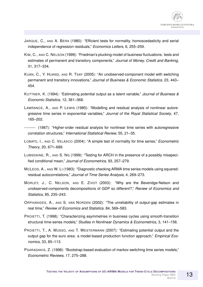- JARQUE, C., AND A. BERA (1980): "Efficient tests for normality, homoscedasticity and serial independence of regression residuals," *Economics Letters*, 6, 255–259.
- KIM, C., AND C. NELSON (1999): "Friedman's plucking model of business fluctuations: tests and estimates of permanent and transitory components," *Journal of Money, Credit and Banking*, 31, 317–334.
- KUAN, C., Y. HUANG, AND R. TSAY (2005): "An unobserved-component model with switching permanent and transitory innovations," *Journal of Business & Economic Statistics*, 23, 443– 454.
- KUTTNER, K. (1994): "Estimating potential output as a latent variable," *Journal of Business & Economic Statistics*, 12, 361–368.
- LAWRANCE, A., AND P. LEWIS (1985): "Modelling and residual analysis of nonlinear autoregressive time series in exponential variables," *Journal of the Royal Statistical Society*, 47, 165–202.
- (1987): "Higher-order residual analysis for nonlinear time series with autoregressive correlation structures," *International Statistical Review*, 55, 21–35.
- LOBATO, I., AND C. VELASCO (2004): "A simple test of normality for time series," *Econometric Theory*, 20, 671–689.
- LUMSDAINE, R., AND S. NG (1999): "Testing for ARCH in the presence of a possibly misspecified conditional mean," *Journal of Econometrics*, 93, 257–279.
- MCLEOD, A., AND W. LI (1983): "Diagnostic checking ARMA time series models using squaredresidual autocorrelations," *Journal of Time Series Analysis*, 4, 269–273.
- MORLEY, J., C. NELSON, AND E. ZIVOT (2003): "Why are the Beveridge-Nelson and unobserved-components decompositions of GDP so different?," *Review of Economics and Statistics*, 85, 235–243.
- ORPHANIDES, A., AND S. VAN NORDEN (2002): "The unreliability of output-gap estimates in real time," *Review of Economics and Statistics*, 84, 569–583.
- PROIETTI, T. (1998): "Characterizing asymmetries in business cycles using smooth-transition structural time-series models," *Studies in Nonlinear Dynamics & Econometrics*, 3, 141–156.
- PROIETTI, T., A. MUSSO, AND T. WESTERMANN (2007): "Estimating potential output and the output gap for the euro area: a model-based production function approach," *Empirical Economics*, 33, 85–113.
- PSARADAKIS, Z. (1998): "Bootstrap-based evaluation of markov-switching time series models," *Econometric Reviews*, 17, 275–288.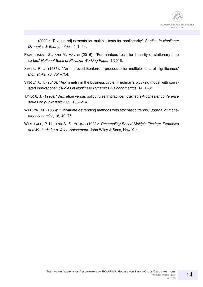

14

(2000): "P-value adjustments for multiple tests for nonlinearity," *Studies in Nonlinear Dynamics & Econometrics*, 4, 1–14.

- PSARADAKIS, Z., AND M. VÁVRA (2016): "Portmanteau tests for linearity of stationary time series," *National Bank of Slovakia Working Paper*, 1/2016.
- SIMES, R. J. (1986): "An improved Bonferroni procedure for multiple tests of significance," *Biometrika*, 73, 751–754.
- SINCLAIR, T. (2010): "Asymmetry in the business cycle: Friedman's plucking model with correlated innovations," *Studies in Nonlinear Dynamics & Econometrics*, 14, 1–31.
- TAYLOR, J. (1993): "Discretion versus policy rules in practice," *Carnegie-Rochester conference series on public policy*, 39, 195–214.
- WATSON, M. (1986): "Univariate detrending methods with stochastic trends," *Journal of monetary economics*, 18, 49–75.
- WESTFALL, P. H., AND S. S. YOUNG (1993): *Resampling-Based Multiple Testing: Examples and Methods for p-Value Adjustment*. John Wiley & Sons, New York.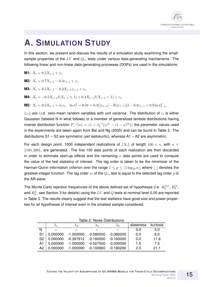

### **A. SIMULATION STUDY**

In this section, we present and discuss the results of a simulation study examining the smallsample properties of the LV and  $Q_{rs}$  tests under various data-generating mechanisms. The following linear and non-linear data-generating processes (DGPs) are used in the simulations:

**M1:** 
$$
X_t = 0.5X_{t-1} + \varepsilon_t
$$
,

**M2:**  $X_t = 0.7X_{t-1} - 0.3\varepsilon_{t-1} + \varepsilon_t,$ 

**M3:**  $X_t = 0.5X_{t-1} - 0.3X_{t-1}\varepsilon_{t-1} + \varepsilon_t,$ 

**M4:**  $X_t = -0.5X_{t-1}I(X_{t-1} \leq 1) + 0.4X_{t-1}I(X_{t-1} > 1) + \varepsilon_t,$ 

**M5:** 
$$
X_t = 0.5X_{t-1} + \sigma_t \varepsilon_t
$$
,  $\ln \sigma_t^2 = 0.01 + 0.3\{|\varepsilon_{t-1}| - \mathbb{E}(|\varepsilon_{t-1}|)\} - 0.8\varepsilon_{t-1} + 0.9 \ln \sigma_{t-1}^2$ ,

 $\{\varepsilon_t\}$  are i.i.d. zero-mean random variables with unit variance. The distribution of  $\varepsilon_t$  is either Gaussian (labeled N in what follows) or a member of generalized lambda distributions having inverse distribution function  $F^{-1}_\varepsilon(u)=\beta_1+\beta_2^{-1}\{u^{\beta_3}-(1-u)^{\beta_4}\};$  the parameter values used in the experiments are taken again from Bai and Ng (2005) and can be found in Table 2. The distributions S1 – S2 are symmetric (yet leptokurtic), whereas A1 – A2 are asymmetric.

For each design point, 1000 independent realizations of  $\{X_t\}$  of length  $100 + n$ , with  $n \in$  $\{100, 200\}$ , are generated. The first 100 data points of each realization are then discarded in order to eliminate start-up effects and the remaining  $n$  data points are used to compute the value of the test statistics of interest. The lag order is taken to be the minimizer of the Hannan-Quinn information criterion over the range  $1 \le p \le |5 \log_{10} n|$ , where  $|\cdot|$  denotes the greatest-integer function. The lag order m of the  $Q_{rs}$  test is equal to the selected lag order p of the AR-sieve.

The Monte Carlo rejection frequencies of the above defined set of hypotheses (i.e.  $H_0^{NL}$ ,  $H_0^{N}$ , and  $H_0^L$ , see Section 3 for details) using the  $LV$  and  $Q$  tests at nominal level 0.05 are reported in Table 3. The results clearly suggest that the test statistics have good size and power properties for all hypotheses of interest even in the smallest sample considered.

| טווטואטוש ביטוסים נבאטו |          |              |             |             |          |          |  |  |  |  |  |  |
|-------------------------|----------|--------------|-------------|-------------|----------|----------|--|--|--|--|--|--|
|                         |          | $\lambda$ 2. | $\lambda$ 3 | $\lambda_4$ | skewness | kurtosis |  |  |  |  |  |  |
| N                       |          |              |             |             | 0.0      | 3.0      |  |  |  |  |  |  |
| S <sub>1</sub>          | 0.000000 | $-1.000000$  | $-0.080000$ | $-0.080000$ | 0.0      | 6.0      |  |  |  |  |  |  |
| S <sub>2</sub>          | 0.000000 | $-0.397912$  | $-0.160000$ | $-0.160000$ | 0.0      | 11.6     |  |  |  |  |  |  |
| A1                      | 0.000000 | $-1.000000$  | $-0.007500$ | $-0.030000$ | 1.5      | 7.5      |  |  |  |  |  |  |
| A2                      | 0.000000 | $-1.000000$  | $-0.100900$ | $-0.180200$ | 20       | 21 1     |  |  |  |  |  |  |

Table 2: Noise Distributions